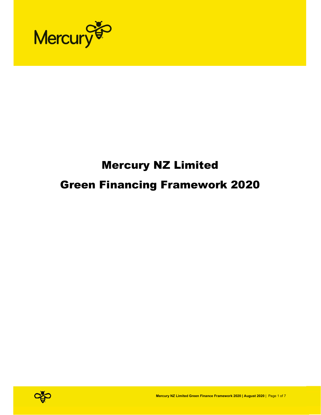

# Mercury NZ Limited Green Financing Framework 2020

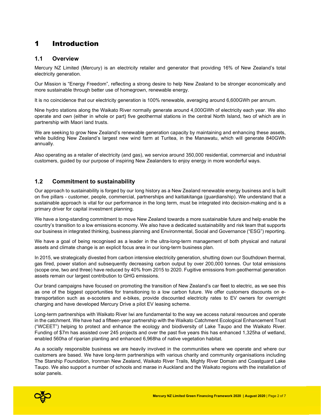# 1 Introduction

## 1.1 Overview

Mercury NZ Limited (Mercury) is an electricity retailer and generator that providing 16% of New Zealand's total electricity generation.

Our Mission is "Energy Freedom", reflecting a strong desire to help New Zealand to be stronger economically and more sustainable through better use of homegrown, renewable energy.

It is no coincidence that our electricity generation is 100% renewable, averaging around 6,600GWh per annum.

Nine hydro stations along the Waikato River normally generate around 4,000GWh of electricity each year. We also operate and own (either in whole or part) five geothermal stations in the central North Island, two of which are in partnership with Maori land trusts.

We are seeking to grow New Zealand's renewable generation capacity by maintaining and enhancing these assets, while building New Zealand's largest new wind farm at Turitea, in the Manawatu, which will generate 840GWh annually.

Also operating as a retailer of electricity (and gas), we service around 350,000 residential, commercial and industrial customers, guided by our purpose of inspiring New Zealanders to enjoy energy in more wonderful ways.

## 1.2 Commitment to sustainability

Our approach to sustainability is forged by our long history as a New Zealand renewable energy business and is built on five pillars - customer, people, commercial, partnerships and kaitiakitanga (guardianship). We understand that a sustainable approach is vital for our performance in the long term, must be integrated into decision-making and is a primary driver for capital investment planning.

We have a long-standing commitment to move New Zealand towards a more sustainable future and help enable the country's transition to a low emissions economy. We also have a dedicated sustainability and risk team that supports our business in integrated thinking, business planning and Environmental, Social and Governance ("ESG") reporting.

We have a goal of being recognised as a leader in the ultra-long-term management of both physical and natural assets and climate change is an explicit focus area in our long-term business plan.

In 2015, we strategically divested from carbon intensive electricity generation, shutting down our Southdown thermal, gas fired, power station and subsequently decreasing carbon output by over 200,000 tonnes. Our total emissions (scope one, two and three) have reduced by 40% from 2015 to 2020. Fugitive emissions from geothermal generation assets remain our largest contribution to GHG emissions.

Our brand campaigns have focused on promoting the transition of New Zealand's car fleet to electric, as we see this as one of the biggest opportunities for transitioning to a low carbon future. We offer customers discounts on etransportation such as e-scooters and e-bikes, provide discounted electricity rates to EV owners for overnight charging and have developed Mercury Drive a pilot EV leasing scheme.

Long-term partnerships with Waikato River Iwi are fundamental to the way we access natural resources and operate in the catchment. We have had a fifteen-year partnership with the Waikato Catchment Ecological Enhancement Trust ("WCEET") helping to protect and enhance the ecology and biodiversity of Lake Taupo and the Waikato River. Funding of \$7m has assisted over 245 projects and over the past five years this has enhanced 1,325ha of wetland, enabled 560ha of riparian planting and enhanced 6,968ha of native vegetation habitat.

As a socially responsible business we are heavily involved in the communities where we operate and where our customers are based. We have long-term partnerships with various charity and community organisations including The Starship Foundation, Ironman New Zealand, Waikato River Trails, Mighty River Domain and Coastguard Lake Taupo. We also support a number of schools and marae in Auckland and the Waikato regions with the installation of solar panels.

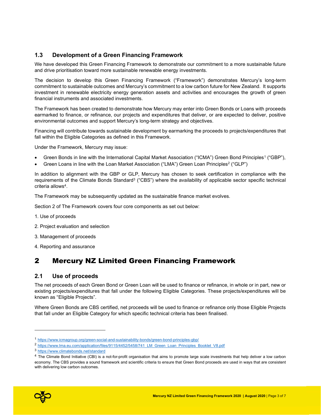# 1.3 Development of a Green Financing Framework

We have developed this Green Financing Framework to demonstrate our commitment to a more sustainable future and drive prioritisation toward more sustainable renewable energy investments.

The decision to develop this Green Financing Framework ("Framework") demonstrates Mercury's long-term commitment to sustainable outcomes and Mercury's commitment to a low carbon future for New Zealand. It supports investment in renewable electricity energy generation assets and activities and encourages the growth of green financial instruments and associated investments.

The Framework has been created to demonstrate how Mercury may enter into Green Bonds or Loans with proceeds earmarked to finance, or refinance, our projects and expenditures that deliver, or are expected to deliver, positive environmental outcomes and support Mercury's long-term strategy and objectives.

Financing will contribute towards sustainable development by earmarking the proceeds to projects/expenditures that fall within the Eligible Categories as defined in this Framework.

Under the Framework, Mercury may issue:

- Green Bonds in line with the International Capital Market Association ("ICMA") Green Bond Principles<sup>1</sup> ("GBP"),
- Green Loans in line with the Loan Market Association ("LMA") Green Loan Principles<sup>2</sup> ("GLP")

In addition to alignment with the GBP or GLP, Mercury has chosen to seek certification in compliance with the requirements of the Climate Bonds Standard<sup>3</sup> ("CBS") where the availability of applicable sector specific technical criteria allows<sup>4</sup>.

The Framework may be subsequently updated as the sustainable finance market evolves.

Section 2 of The Framework covers four core components as set out below:

- 1. Use of proceeds
- 2. Project evaluation and selection
- 3. Management of proceeds
- 4. Reporting and assurance

# 2 Mercury NZ Limited Green Financing Framework

#### 2.1 Use of proceeds

The net proceeds of each Green Bond or Green Loan will be used to finance or refinance, in whole or in part, new or existing projects/expenditures that fall under the following Eligible Categories. These projects/expenditures will be known as "Eligible Projects".

Where Green Bonds are CBS certified, net proceeds will be used to finance or refinance only those Eligible Projects that fall under an Eligible Category for which specific technical criteria has been finalised.

<sup>&</sup>lt;sup>4</sup> The Climate Bond Initiative (CBI) is a not-for-profit organisation that aims to promote large scale investments that help deliver a low carbon economy. The CBS provides a sound framework and scientific criteria to ensure that Green Bond proceeds are used in ways that are consistent with delivering low carbon outcomes.



<sup>1</sup> https://www.icmagroup.org/green-social-and-sustainability-bonds/green-bond-principles-gbp/

<sup>2</sup> https://www.lma.eu.com/application/files/9115/4452/5458/741\_LM\_Green\_Loan\_Principles\_Booklet\_V8.pdf

<sup>3</sup> https://www.climatebonds.net/standard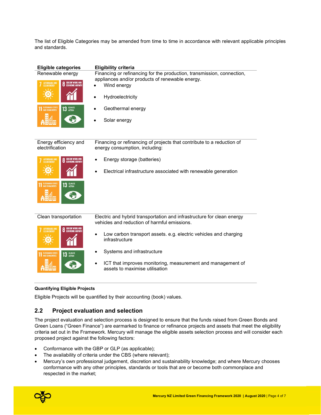The list of Eligible Categories may be amended from time to time in accordance with relevant applicable principles and standards.

| <b>Eligible categories</b><br>Renewable energy<br><b>DECENT WORK AND</b><br><b>AFFORDABLE AND</b><br><b>ECONOMIC GROWTH</b><br><b>CLEAN ENERGY</b><br><b>SUSTAINABLE CITIES</b><br><b>13 GLIMATE</b> | <b>Eligibility criteria</b><br>Financing or refinancing for the production, transmission, connection,<br>appliances and/or products of renewable energy.<br>Wind energy<br>Hydroelectricity<br>Geothermal energy |
|------------------------------------------------------------------------------------------------------------------------------------------------------------------------------------------------------|------------------------------------------------------------------------------------------------------------------------------------------------------------------------------------------------------------------|
|                                                                                                                                                                                                      | Solar energy                                                                                                                                                                                                     |
| Energy efficiency and<br>electrification                                                                                                                                                             | Financing or refinancing of projects that contribute to a reduction of<br>energy consumption, including:                                                                                                         |
| DECENT WORK AND<br>ECONOMIC GROWTH<br><b>AFFORDABLE AND</b><br><b>CLEAN ENERGY</b>                                                                                                                   | Energy storage (batteries)<br>Electrical infrastructure associated with renewable generation                                                                                                                     |
| <b>SUSTAINABLE CITIES</b><br>13 GLIMATE                                                                                                                                                              |                                                                                                                                                                                                                  |
| Clean transportation<br><b>DECENT WORK AND</b><br><b>AFFORDABLE AND</b>                                                                                                                              | Electric and hybrid transportation and infrastructure for clean energy<br>vehicles and reduction of harmful emissions.                                                                                           |
| <b>ECONOMIC GROWTH</b><br><b>CLEAN ENERGY</b>                                                                                                                                                        | Low carbon transport assets. e.g. electric vehicles and charging<br>infrastructure                                                                                                                               |
| SUSTAINABLE CITIES<br>AND COMMUNITIES<br><b>CLIMATE</b><br>ACTION<br>13                                                                                                                              | Systems and infrastructure                                                                                                                                                                                       |
|                                                                                                                                                                                                      | ICT that improves monitoring, measurement and management of<br>assets to maximise utilisation                                                                                                                    |

#### Quantifying Eligible Projects

Eligible Projects will be quantified by their accounting (book) values.

# 2.2 Project evaluation and selection

The project evaluation and selection process is designed to ensure that the funds raised from Green Bonds and Green Loans ("Green Finance") are earmarked to finance or refinance projects and assets that meet the eligibility criteria set out in the Framework. Mercury will manage the eligible assets selection process and will consider each proposed project against the following factors:

- Conformance with the GBP or GLP (as applicable);
- The availability of criteria under the CBS (where relevant);
- Mercury's own professional judgement, discretion and sustainability knowledge; and where Mercury chooses conformance with any other principles, standards or tools that are or become both commonplace and respected in the market;

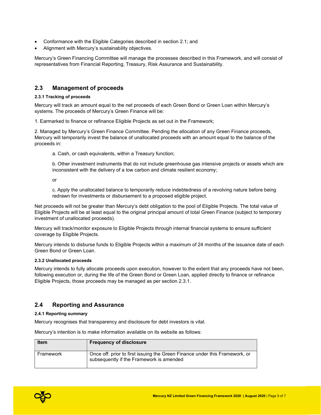- Conformance with the Eligible Categories described in section 2.1; and
- Alignment with Mercury's sustainability objectives.

Mercury's Green Financing Committee will manage the processes described in this Framework, and will consist of representatives from Financial Reporting, Treasury, Risk Assurance and Sustainability.

### 2.3 Management of proceeds

#### 2.3.1 Tracking of proceeds

Mercury will track an amount equal to the net proceeds of each Green Bond or Green Loan within Mercury's systems. The proceeds of Mercury's Green Finance will be:

1. Earmarked to finance or refinance Eligible Projects as set out in the Framework;

2. Managed by Mercury's Green Finance Committee. Pending the allocation of any Green Finance proceeds, Mercury will temporarily invest the balance of unallocated proceeds with an amount equal to the balance of the proceeds in:

a. Cash, or cash equivalents, within a Treasury function;

b. Other investment instruments that do not include greenhouse gas intensive projects or assets which are inconsistent with the delivery of a low carbon and climate resilient economy;

or

c. Apply the unallocated balance to temporarily reduce indebtedness of a revolving nature before being redrawn for investments or disbursement to a proposed eligible project.

Net proceeds will not be greater than Mercury's debt obligation to the pool of Eligible Projects. The total value of Eligible Projects will be at least equal to the original principal amount of total Green Finance (subject to temporary investment of unallocated proceeds).

Mercury will track/monitor exposure to Eligible Projects through internal financial systems to ensure sufficient coverage by Eligible Projects.

Mercury intends to disburse funds to Eligible Projects within a maximum of 24 months of the issuance date of each Green Bond or Green Loan.

#### 2.3.2 Unallocated proceeds

Mercury intends to fully allocate proceeds upon execution, however to the extent that any proceeds have not been, following execution or, during the life of the Green Bond or Green Loan, applied directly to finance or refinance Eligible Projects, those proceeds may be managed as per section 2.3.1.

#### 2.4 Reporting and Assurance

#### 2.4.1 Reporting summary

Mercury recognises that transparency and disclosure for debt investors is vital.

Mercury's intention is to make information available on its website as follows:

| <b>Item</b> | <b>Frequency of disclosure</b>                                                                                          |
|-------------|-------------------------------------------------------------------------------------------------------------------------|
| Framework   | Once off: prior to first issuing the Green Finance under this Framework, or<br>subsequently if the Framework is amended |

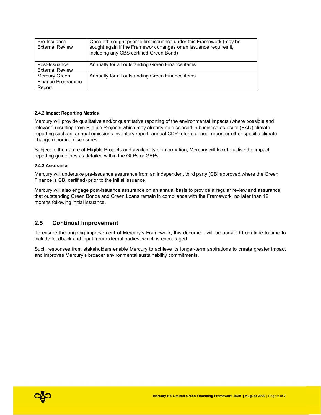| Pre-Issuance<br><b>External Review</b>       | Once off: sought prior to first issuance under this Framework (may be<br>sought again if the Framework changes or an issuance requires it,<br>including any CBS certified Green Bond) |
|----------------------------------------------|---------------------------------------------------------------------------------------------------------------------------------------------------------------------------------------|
| Post-Issuance<br><b>External Review</b>      | Annually for all outstanding Green Finance items                                                                                                                                      |
| Mercury Green<br>Finance Programme<br>Report | Annually for all outstanding Green Finance items                                                                                                                                      |

#### 2.4.2 Impact Reporting Metrics

Mercury will provide qualitative and/or quantitative reporting of the environmental impacts (where possible and relevant) resulting from Eligible Projects which may already be disclosed in business-as-usual (BAU) climate reporting such as: annual emissions inventory report; annual CDP return; annual report or other specific climate change reporting disclosures.

Subject to the nature of Eligible Projects and availability of information, Mercury will look to utilise the impact reporting guidelines as detailed within the GLPs or GBPs.

#### 2.4.3 Assurance

Mercury will undertake pre-issuance assurance from an independent third party (CBI approved where the Green Finance is CBI certified) prior to the initial issuance.

Mercury will also engage post-issuance assurance on an annual basis to provide a regular review and assurance that outstanding Green Bonds and Green Loans remain in compliance with the Framework, no later than 12 months following initial issuance.

#### 2.5 Continual Improvement

To ensure the ongoing improvement of Mercury's Framework, this document will be updated from time to time to include feedback and input from external parties, which is encouraged.

Such responses from stakeholders enable Mercury to achieve its longer-term aspirations to create greater impact and improves Mercury's broader environmental sustainability commitments.